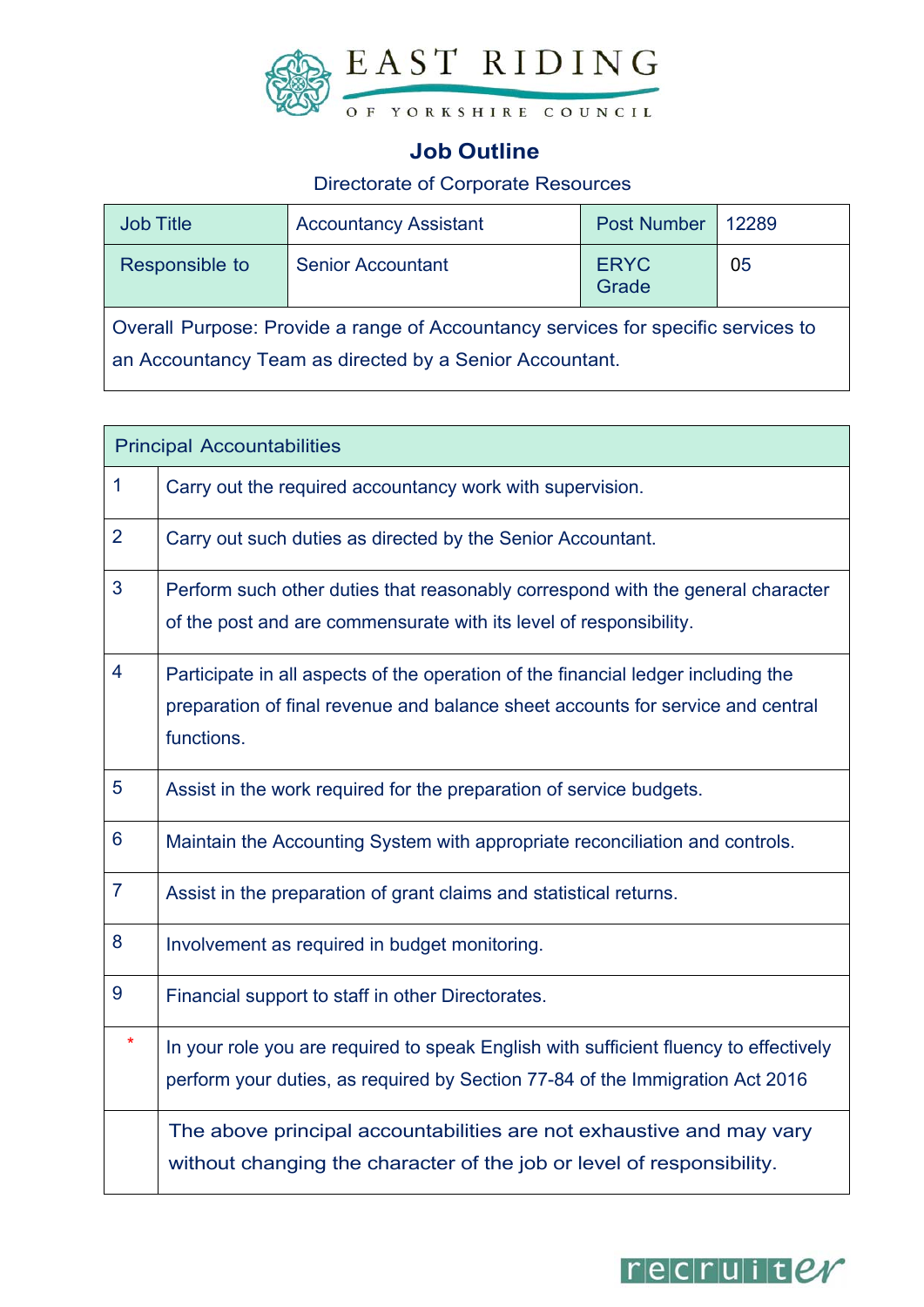

## **Job Outline**

### Directorate of Corporate Resources

| <b>Job Title</b> | <b>Accountancy Assistant</b>                                                                                                                 | <b>Post Number</b>   | 12289 |
|------------------|----------------------------------------------------------------------------------------------------------------------------------------------|----------------------|-------|
| Responsible to   | <b>Senior Accountant</b>                                                                                                                     | <b>ERYC</b><br>Grade | 05    |
|                  | Overall Purpose: Provide a range of Accountancy services for specific services to<br>an Accountancy Team as directed by a Senior Accountant. |                      |       |

| <b>Principal Accountabilities</b> |                                                                                                                                                                                    |  |
|-----------------------------------|------------------------------------------------------------------------------------------------------------------------------------------------------------------------------------|--|
| $\mathbf{1}$                      | Carry out the required accountancy work with supervision.                                                                                                                          |  |
| $\overline{2}$                    | Carry out such duties as directed by the Senior Accountant.                                                                                                                        |  |
| 3                                 | Perform such other duties that reasonably correspond with the general character<br>of the post and are commensurate with its level of responsibility.                              |  |
| $\overline{4}$                    | Participate in all aspects of the operation of the financial ledger including the<br>preparation of final revenue and balance sheet accounts for service and central<br>functions. |  |
| 5                                 | Assist in the work required for the preparation of service budgets.                                                                                                                |  |
| $6\phantom{1}6$                   | Maintain the Accounting System with appropriate reconciliation and controls.                                                                                                       |  |
| $\overline{7}$                    | Assist in the preparation of grant claims and statistical returns.                                                                                                                 |  |
| 8                                 | Involvement as required in budget monitoring.                                                                                                                                      |  |
| 9                                 | Financial support to staff in other Directorates.                                                                                                                                  |  |
| $\star$                           | In your role you are required to speak English with sufficient fluency to effectively<br>perform your duties, as required by Section 77-84 of the Immigration Act 2016             |  |
|                                   | The above principal accountabilities are not exhaustive and may vary<br>without changing the character of the job or level of responsibility.                                      |  |